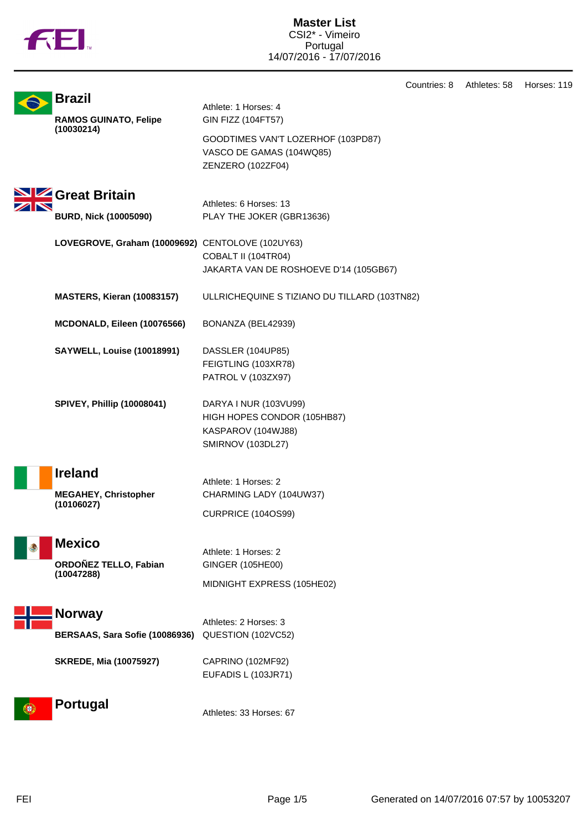|  | TΜ |
|--|----|

**Master List** CSI2\* - Vimeiro Portugal 14/07/2016 - 17/07/2016

Countries: 8 Athletes: 58 Horses: 119

| <b>Brazil</b>                                    | Athlete: 1 Horses: 4                                          |
|--------------------------------------------------|---------------------------------------------------------------|
| <b>RAMOS GUINATO, Felipe</b>                     | GIN FIZZ (104FT57)                                            |
| (10030214)                                       | GOODTIMES VAN'T LOZERHOF (103PD87)                            |
|                                                  | VASCO DE GAMAS (104WQ85)                                      |
|                                                  | ZENZERO (102ZF04)                                             |
|                                                  |                                                               |
| SIZ Great Britain                                | Athletes: 6 Horses: 13                                        |
| <b>BURD, Nick (10005090)</b>                     | PLAY THE JOKER (GBR13636)                                     |
|                                                  |                                                               |
| LOVEGROVE, Graham (10009692) CENTOLOVE (102UY63) |                                                               |
|                                                  | COBALT II (104TR04)<br>JAKARTA VAN DE ROSHOEVE D'14 (105GB67) |
|                                                  |                                                               |
| <b>MASTERS, Kieran (10083157)</b>                | ULLRICHEQUINE S TIZIANO DU TILLARD (103TN82)                  |
|                                                  |                                                               |
| MCDONALD, Eileen (10076566)                      | BONANZA (BEL42939)                                            |
| <b>SAYWELL, Louise (10018991)</b>                | DASSLER (104UP85)                                             |
|                                                  | FEIGTLING (103XR78)                                           |
|                                                  | PATROL V (103ZX97)                                            |
| <b>SPIVEY, Phillip (10008041)</b>                | DARYA I NUR (103VU99)                                         |
|                                                  | HIGH HOPES CONDOR (105HB87)                                   |
|                                                  | KASPAROV (104WJ88)                                            |
|                                                  | SMIRNOV (103DL27)                                             |
| <b>Ireland</b>                                   |                                                               |
|                                                  | Athlete: 1 Horses: 2                                          |
| <b>MEGAHEY, Christopher</b><br>(10106027)        | CHARMING LADY (104UW37)                                       |
|                                                  | <b>CURPRICE (104OS99)</b>                                     |
|                                                  |                                                               |
| <b>Mexico</b>                                    | Athlete: 1 Horses: 2                                          |
| ORDOÑEZ TELLO, Fabian<br>(10047288)              | GINGER (105HE00)                                              |
|                                                  | MIDNIGHT EXPRESS (105HE02)                                    |
|                                                  |                                                               |
| <b>Norway</b>                                    | Athletes: 2 Horses: 3                                         |
| BERSAAS, Sara Sofie (10086936)                   | QUESTION (102VC52)                                            |
| <b>SKREDE, Mia (10075927)</b>                    | CAPRINO (102MF92)                                             |
|                                                  | EUFADIS L (103JR71)                                           |
|                                                  |                                                               |
| <b>Portugal</b>                                  | Athletes: 33 Horses: 67                                       |
|                                                  |                                                               |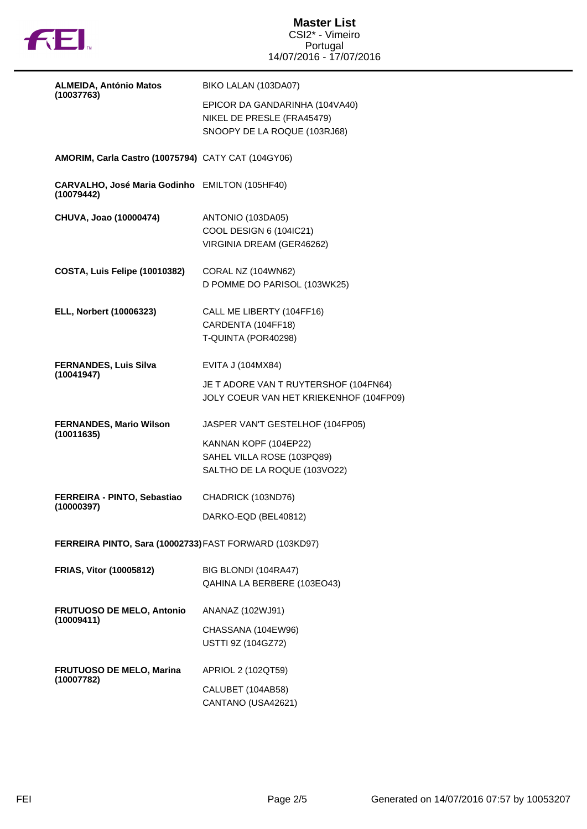

| <b>ALMEIDA, António Matos</b>                                | BIKO LALAN (103DA07)                                                                         |  |
|--------------------------------------------------------------|----------------------------------------------------------------------------------------------|--|
| (10037763)                                                   | EPICOR DA GANDARINHA (104VA40)<br>NIKEL DE PRESLE (FRA45479)<br>SNOOPY DE LA ROQUE (103RJ68) |  |
| AMORIM, Carla Castro (10075794) CATY CAT (104GY06)           |                                                                                              |  |
| CARVALHO, José Maria Godinho EMILTON (105HF40)<br>(10079442) |                                                                                              |  |
| CHUVA, Joao (10000474)                                       | ANTONIO (103DA05)<br>COOL DESIGN 6 (104IC21)<br>VIRGINIA DREAM (GER46262)                    |  |
| <b>COSTA, Luis Felipe (10010382)</b>                         | CORAL NZ (104WN62)<br>D POMME DO PARISOL (103WK25)                                           |  |
| ELL, Norbert (10006323)                                      | CALL ME LIBERTY (104FF16)<br>CARDENTA (104FF18)<br>T-QUINTA (POR40298)                       |  |
| <b>FERNANDES, Luis Silva</b><br>(10041947)                   | EVITA J (104MX84)<br>JE T ADORE VAN T RUYTERSHOF (104FN64)                                   |  |
|                                                              | JOLY COEUR VAN HET KRIEKENHOF (104FP09)                                                      |  |
| <b>FERNANDES, Mario Wilson</b><br>(10011635)                 | JASPER VAN'T GESTELHOF (104FP05)                                                             |  |
|                                                              | KANNAN KOPF (104EP22)                                                                        |  |
|                                                              | SAHEL VILLA ROSE (103PQ89)<br>SALTHO DE LA ROQUE (103VO22)                                   |  |
| FERREIRA - PINTO, Sebastiao<br>(10000397)                    | CHADRICK (103ND76)                                                                           |  |
|                                                              | DARKO-EQD (BEL40812)                                                                         |  |
| FERREIRA PINTO, Sara (10002733) FAST FORWARD (103KD97)       |                                                                                              |  |
| <b>FRIAS, Vitor (10005812)</b>                               | BIG BLONDI (104RA47)<br>QAHINA LA BERBERE (103EO43)                                          |  |
| <b>FRUTUOSO DE MELO, Antonio</b><br>(10009411)               | ANANAZ (102WJ91)                                                                             |  |
|                                                              | CHASSANA (104EW96)<br>USTTI 9Z (104GZ72)                                                     |  |
| <b>FRUTUOSO DE MELO, Marina</b>                              | APRIOL 2 (102QT59)                                                                           |  |
| (10007782)                                                   | CALUBET (104AB58)<br>CANTANO (USA42621)                                                      |  |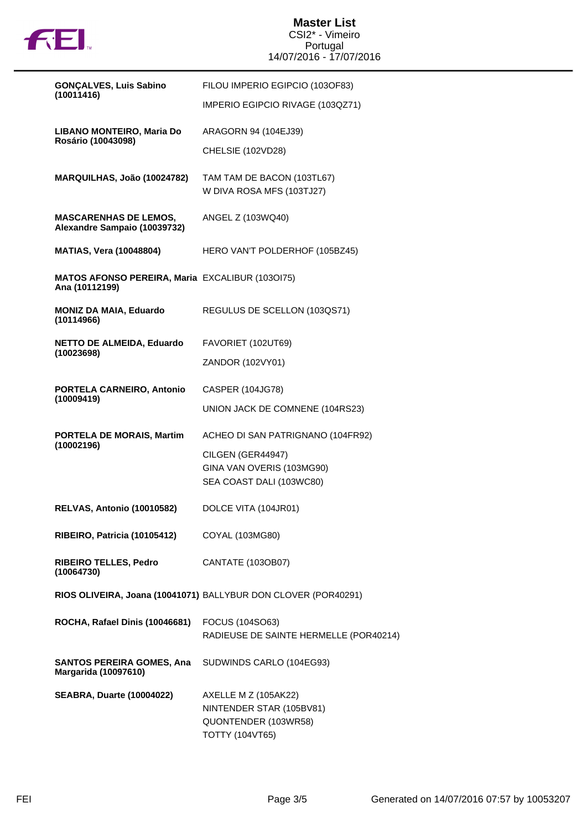

**Master List** CSI2\* - Vimeiro Portugal 14/07/2016 - 17/07/2016

| <b>GONÇALVES, Luis Sabino</b>                                            | FILOU IMPERIO EGIPCIO (103OF83)                                          |
|--------------------------------------------------------------------------|--------------------------------------------------------------------------|
| (10011416)                                                               | IMPERIO EGIPCIO RIVAGE (103QZ71)                                         |
| LIBANO MONTEIRO, Maria Do<br>Rosário (10043098)                          | ARAGORN 94 (104EJ39)                                                     |
|                                                                          | CHELSIE (102VD28)                                                        |
| MARQUILHAS, João (10024782)                                              | TAM TAM DE BACON (103TL67)<br>W DIVA ROSA MFS (103TJ27)                  |
|                                                                          |                                                                          |
| <b>MASCARENHAS DE LEMOS,</b><br>Alexandre Sampaio (10039732)             | ANGEL Z (103WQ40)                                                        |
| <b>MATIAS, Vera (10048804)</b>                                           | HERO VAN'T POLDERHOF (105BZ45)                                           |
| <b>MATOS AFONSO PEREIRA, Maria EXCALIBUR (1030175)</b><br>Ana (10112199) |                                                                          |
| <b>MONIZ DA MAIA, Eduardo</b><br>(10114966)                              | REGULUS DE SCELLON (103QS71)                                             |
| <b>NETTO DE ALMEIDA, Eduardo</b>                                         | FAVORIET (102UT69)                                                       |
| (10023698)                                                               | ZANDOR (102VY01)                                                         |
| PORTELA CARNEIRO, Antonio                                                | CASPER (104JG78)                                                         |
| (10009419)                                                               | UNION JACK DE COMNENE (104RS23)                                          |
| PORTELA DE MORAIS, Martim<br>(10002196)                                  | ACHEO DI SAN PATRIGNANO (104FR92)                                        |
|                                                                          | CILGEN (GER44947)                                                        |
|                                                                          | GINA VAN OVERIS (103MG90)<br>SEA COAST DALI (103WC80)                    |
|                                                                          |                                                                          |
| <b>RELVAS, Antonio (10010582)</b>                                        | DOLCE VITA (104JR01)                                                     |
| RIBEIRO, Patricia (10105412)                                             | COYAL (103MG80)                                                          |
| <b>RIBEIRO TELLES, Pedro</b><br>(10064730)                               | CANTATE (103OB07)                                                        |
|                                                                          | RIOS OLIVEIRA, Joana (10041071) BALLYBUR DON CLOVER (POR40291)           |
| ROCHA, Rafael Dinis (10046681)                                           | FOCUS (104SO63)                                                          |
|                                                                          | RADIEUSE DE SAINTE HERMELLE (POR40214)                                   |
| <b>SANTOS PEREIRA GOMES, Ana</b><br>Margarida (10097610)                 | SUDWINDS CARLO (104EG93)                                                 |
| <b>SEABRA, Duarte (10004022)</b>                                         | AXELLE M Z (105AK22)<br>NINTENDER STAR (105BV81)<br>QUONTENDER (103WR58) |
|                                                                          | <b>TOTTY (104VT65)</b>                                                   |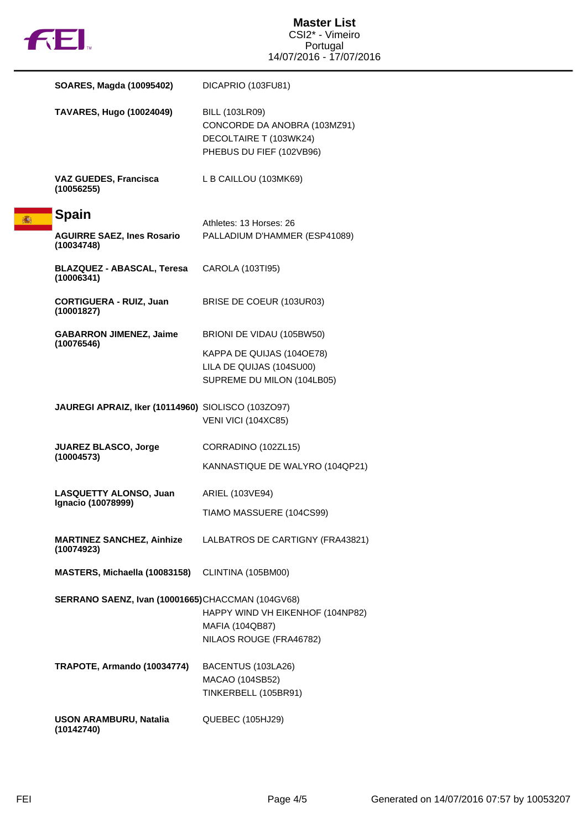

18

|  | SOARES, Magda (10095402)                           | DICAPRIO (103FU81)                                                                                          |
|--|----------------------------------------------------|-------------------------------------------------------------------------------------------------------------|
|  | <b>TAVARES, Hugo (10024049)</b>                    | <b>BILL (103LR09)</b><br>CONCORDE DA ANOBRA (103MZ91)<br>DECOLTAIRE T (103WK24)<br>PHEBUS DU FIEF (102VB96) |
|  | <b>VAZ GUEDES, Francisca</b><br>(10056255)         | L B CAILLOU (103MK69)                                                                                       |
|  | <b>Spain</b>                                       | Athletes: 13 Horses: 26                                                                                     |
|  | <b>AGUIRRE SAEZ, Ines Rosario</b><br>(10034748)    | PALLADIUM D'HAMMER (ESP41089)                                                                               |
|  | <b>BLAZQUEZ - ABASCAL, Teresa</b><br>(10006341)    | CAROLA (103TI95)                                                                                            |
|  | <b>CORTIGUERA - RUIZ, Juan</b><br>(10001827)       | BRISE DE COEUR (103UR03)                                                                                    |
|  | <b>GABARRON JIMENEZ, Jaime</b><br>(10076546)       | BRIONI DE VIDAU (105BW50)                                                                                   |
|  |                                                    | KAPPA DE QUIJAS (104OE78)<br>LILA DE QUIJAS (104SU00)<br>SUPREME DU MILON (104LB05)                         |
|  | JAUREGI APRAIZ, Iker (10114960) SIOLISCO (103ZO97) | VENI VICI (104XC85)                                                                                         |
|  | <b>JUAREZ BLASCO, Jorge</b>                        | CORRADINO (102ZL15)                                                                                         |
|  | (10004573)                                         | KANNASTIQUE DE WALYRO (104QP21)                                                                             |
|  | LASQUETTY ALONSO, Juan<br>Ignacio (10078999)       | ARIEL (103VE94)                                                                                             |
|  |                                                    | TIAMO MASSUERE (104CS99)                                                                                    |
|  | <b>MARTINEZ SANCHEZ, Ainhize</b><br>(10074923)     | LALBATROS DE CARTIGNY (FRA43821)                                                                            |
|  | MASTERS, Michaella (10083158)                      | CLINTINA (105BM00)                                                                                          |
|  | SERRANO SAENZ, Ivan (10001665)CHACCMAN (104GV68)   | HAPPY WIND VH EIKENHOF (104NP82)<br><b>MAFIA (104QB87)</b><br>NILAOS ROUGE (FRA46782)                       |
|  | TRAPOTE, Armando (10034774)                        | BACENTUS (103LA26)<br>MACAO (104SB52)<br>TINKERBELL (105BR91)                                               |
|  | <b>USON ARAMBURU, Natalia</b>                      | QUEBEC (105HJ29)                                                                                            |

**(10142740)**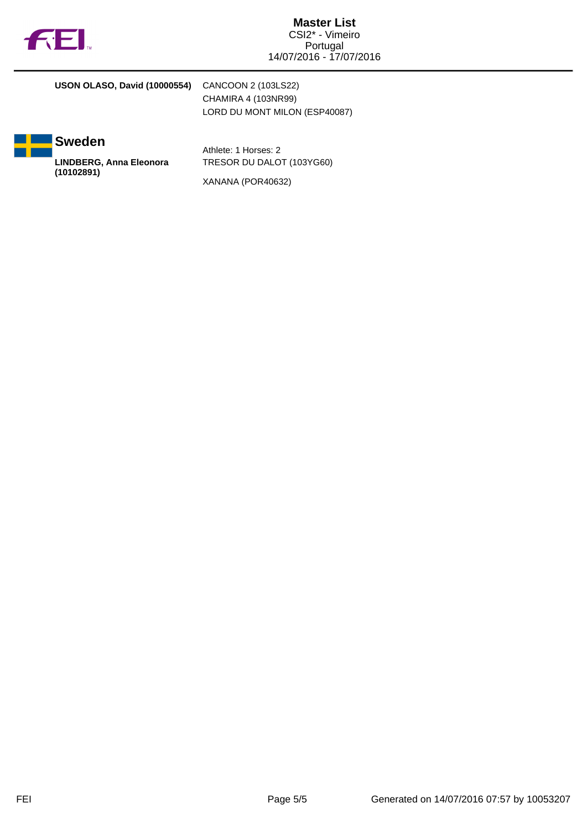

## **USON OLASO, David (10000554)** CANCOON 2 (103LS22) CHAMIRA 4 (103NR99)



Athlete: 1 Horses: 2 TRESOR DU DALOT (103YG60)

LORD DU MONT MILON (ESP40087)

XANANA (POR40632)